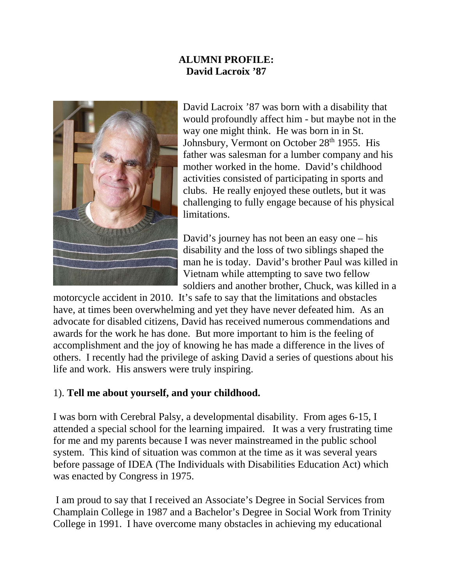# **ALUMNI PROFILE: David Lacroix '87**



David Lacroix '87 was born with a disability that would profoundly affect him - but maybe not in the way one might think. He was born in in St. Johnsbury, Vermont on October 28<sup>th</sup> 1955. His father was salesman for a lumber company and his mother worked in the home. David's childhood activities consisted of participating in sports and clubs. He really enjoyed these outlets, but it was challenging to fully engage because of his physical limitations.

David's journey has not been an easy one – his disability and the loss of two siblings shaped the man he is today. David's brother Paul was killed in Vietnam while attempting to save two fellow soldiers and another brother, Chuck, was killed in a

motorcycle accident in 2010. It's safe to say that the limitations and obstacles have, at times been overwhelming and yet they have never defeated him. As an advocate for disabled citizens, David has received numerous commendations and awards for the work he has done. But more important to him is the feeling of accomplishment and the joy of knowing he has made a difference in the lives of others. I recently had the privilege of asking David a series of questions about his life and work. His answers were truly inspiring.

#### 1). **Tell me about yourself, and your childhood.**

I was born with Cerebral Palsy, a developmental disability. From ages 6-15, I attended a special school for the learning impaired. It was a very frustrating time for me and my parents because I was never mainstreamed in the public school system. This kind of situation was common at the time as it was several years before passage of IDEA (The Individuals with Disabilities Education Act) which was enacted by Congress in 1975.

 I am proud to say that I received an Associate's Degree in Social Services from Champlain College in 1987 and a Bachelor's Degree in Social Work from Trinity College in 1991. I have overcome many obstacles in achieving my educational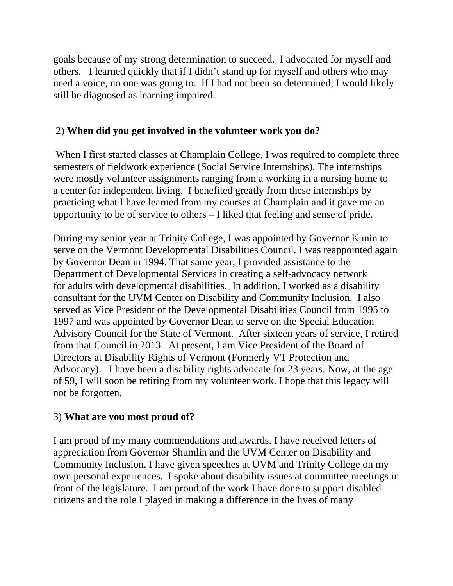goals because of my strong determination to succeed. I advocated for myself and others. I learned quickly that if I didn't stand up for myself and others who may need a voice, no one was going to. If I had not been so determined, I would likely still be diagnosed as learning impaired.

#### 2) **When did you get involved in the volunteer work you do?**

 When I first started classes at Champlain College, I was required to complete three semesters of fieldwork experience (Social Service Internships). The internships were mostly volunteer assignments ranging from a working in a nursing home to a center for independent living. I benefited greatly from these internships by practicing what I have learned from my courses at Champlain and it gave me an opportunity to be of service to others – I liked that feeling and sense of pride.

During my senior year at Trinity College, I was appointed by Governor Kunin to serve on the Vermont Developmental Disabilities Council. I was reappointed again by Governor Dean in 1994. That same year, I provided assistance to the Department of Developmental Services in creating a self-advocacy network for adults with developmental disabilities. In addition, I worked as a disability consultant for the UVM Center on Disability and Community Inclusion. I also served as Vice President of the Developmental Disabilities Council from 1995 to 1997 and was appointed by Governor Dean to serve on the Special Education Advisory Council for the State of Vermont. After sixteen years of service, I retired from that Council in 2013. At present, I am Vice President of the Board of Directors at Disability Rights of Vermont (Formerly VT Protection and Advocacy). I have been a disability rights advocate for 23 years. Now, at the age of 59, I will soon be retiring from my volunteer work. I hope that this legacy will not be forgotten.

## 3) **What are you most proud of?**

I am proud of my many commendations and awards. I have received letters of appreciation from Governor Shumlin and the UVM Center on Disability and Community Inclusion. I have given speeches at UVM and Trinity College on my own personal experiences. I spoke about disability issues at committee meetings in front of the legislature. I am proud of the work I have done to support disabled citizens and the role I played in making a difference in the lives of many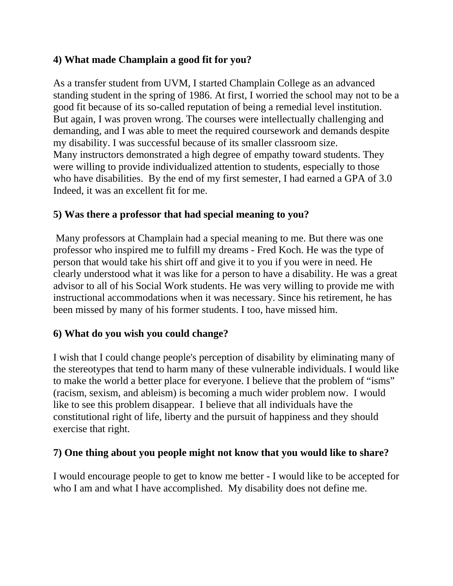# **4) What made Champlain a good fit for you?**

As a transfer student from UVM, I started Champlain College as an advanced standing student in the spring of 1986. At first, I worried the school may not to be a good fit because of its so-called reputation of being a remedial level institution. But again, I was proven wrong. The courses were intellectually challenging and demanding, and I was able to meet the required coursework and demands despite my disability. I was successful because of its smaller classroom size. Many instructors demonstrated a high degree of empathy toward students. They were willing to provide individualized attention to students, especially to those who have disabilities. By the end of my first semester, I had earned a GPA of 3.0 Indeed, it was an excellent fit for me.

## **5) Was there a professor that had special meaning to you?**

 Many professors at Champlain had a special meaning to me. But there was one professor who inspired me to fulfill my dreams - Fred Koch. He was the type of person that would take his shirt off and give it to you if you were in need. He clearly understood what it was like for a person to have a disability. He was a great advisor to all of his Social Work students. He was very willing to provide me with instructional accommodations when it was necessary. Since his retirement, he has been missed by many of his former students. I too, have missed him.

## **6) What do you wish you could change?**

I wish that I could change people's perception of disability by eliminating many of the stereotypes that tend to harm many of these vulnerable individuals. I would like to make the world a better place for everyone. I believe that the problem of "isms" (racism, sexism, and ableism) is becoming a much wider problem now. I would like to see this problem disappear. I believe that all individuals have the constitutional right of life, liberty and the pursuit of happiness and they should exercise that right.

## **7) One thing about you people might not know that you would like to share?**

I would encourage people to get to know me better - I would like to be accepted for who I am and what I have accomplished. My disability does not define me.